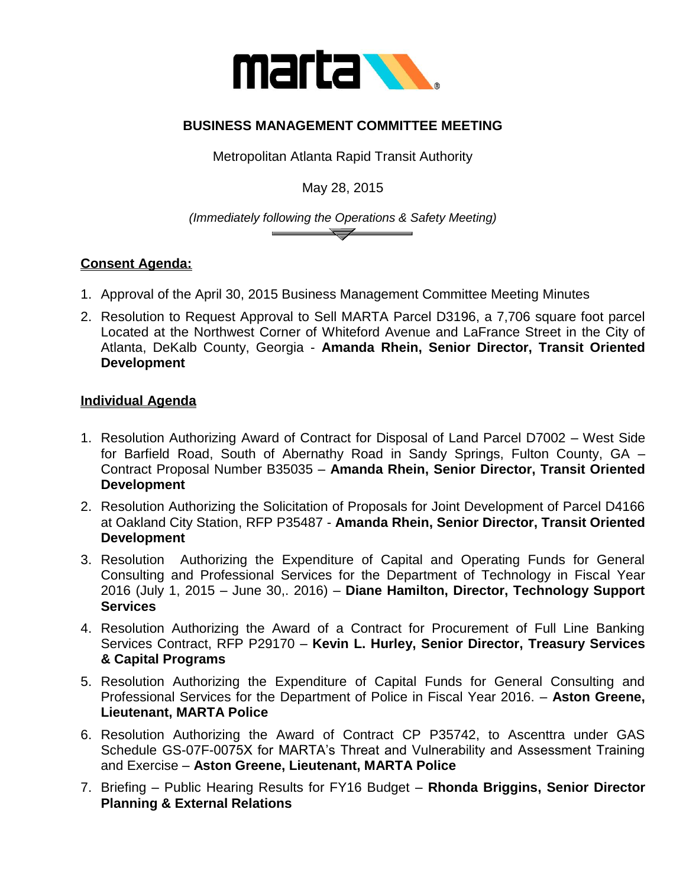

## **BUSINESS MANAGEMENT COMMITTEE MEETING**

Metropolitan Atlanta Rapid Transit Authority

May 28, 2015

*(Immediately following the Operations & Safety Meeting)*  $\overline{\phantom{a}}$ 

## **Consent Agenda:**

- 1. Approval of the April 30, 2015 Business Management Committee Meeting Minutes
- 2. Resolution to Request Approval to Sell MARTA Parcel D3196, a 7,706 square foot parcel Located at the Northwest Corner of Whiteford Avenue and LaFrance Street in the City of Atlanta, DeKalb County, Georgia - **Amanda Rhein, Senior Director, Transit Oriented Development**

## **Individual Agenda**

- 1. Resolution Authorizing Award of Contract for Disposal of Land Parcel D7002 West Side for Barfield Road, South of Abernathy Road in Sandy Springs, Fulton County, GA – Contract Proposal Number B35035 – **Amanda Rhein, Senior Director, Transit Oriented Development**
- 2. Resolution Authorizing the Solicitation of Proposals for Joint Development of Parcel D4166 at Oakland City Station, RFP P35487 - **Amanda Rhein, Senior Director, Transit Oriented Development**
- 3. Resolution Authorizing the Expenditure of Capital and Operating Funds for General Consulting and Professional Services for the Department of Technology in Fiscal Year 2016 (July 1, 2015 – June 30,. 2016) – **Diane Hamilton, Director, Technology Support Services**
- 4. Resolution Authorizing the Award of a Contract for Procurement of Full Line Banking Services Contract, RFP P29170 – **Kevin L. Hurley, Senior Director, Treasury Services & Capital Programs**
- 5. Resolution Authorizing the Expenditure of Capital Funds for General Consulting and Professional Services for the Department of Police in Fiscal Year 2016. – **Aston Greene, Lieutenant, MARTA Police**
- 6. Resolution Authorizing the Award of Contract CP P35742, to Ascenttra under GAS Schedule GS-07F-0075X for MARTA's Threat and Vulnerability and Assessment Training and Exercise – **Aston Greene, Lieutenant, MARTA Police**
- 7. Briefing Public Hearing Results for FY16 Budget **Rhonda Briggins, Senior Director Planning & External Relations**